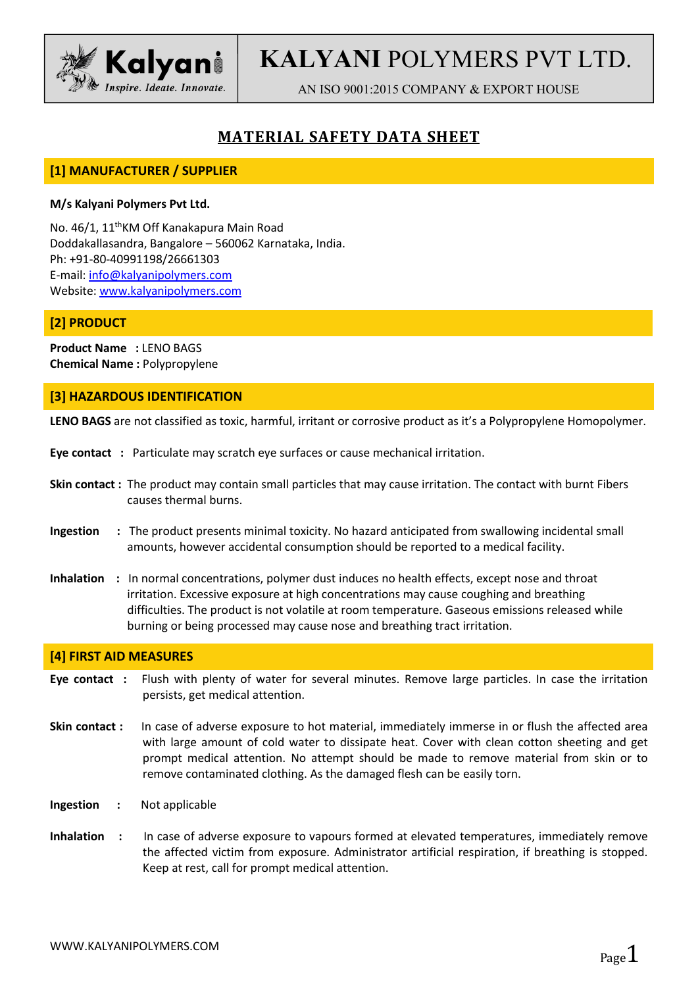

# **KALYANI** POLYMERS PVT LTD.

AN ISO 9001:2015 COMPANY & EXPORT HOUSE

## **MATERIAL SAFETY DATA SHEET**

## **[1] MANUFACTURER / SUPPLIER**

#### **M/s Kalyani Polymers Pvt Ltd.**

No. 46/1, 11 thKM Off Kanakapura Main Road Doddakallasandra, Bangalore – 560062 Karnataka, India. Ph: +91-80-40991198/26661303 E-mail: [info@kalyanipolymers.com](mailto:info@kalyanipolymers.com) Website: [www.kalyanipolymers.com](http://www.kalyanipolymers.com)

## **[2] PRODUCT**

**Product Name :** LENO BAGS **Chemical Name :** Polypropylene

## **[3] HAZARDOUS IDENTIFICATION**

**LENO BAGS** are not classified as toxic, harmful, irritant or corrosive product as it's a Polypropylene Homopolymer.

- **Eye contact :** Particulate may scratch eye surfaces or cause mechanical irritation.
- **Skin contact :** The product may contain small particles that may cause irritation. The contact with burnt Fibers causes thermal burns.
- **Ingestion :** The product presents minimal toxicity. No hazard anticipated from swallowing incidental small amounts, however accidental consumption should be reported to a medical facility.
- **Inhalation** : In normal concentrations, polymer dust induces no health effects, except nose and throat irritation. Excessive exposure at high concentrations may cause coughing and breathing difficulties. The product is not volatile at room temperature. Gaseous emissions released while burning or being processed may cause nose and breathing tract irritation.

#### **[4] FIRST AID MEASURES**

- **Eye contact :** Flush with plenty of water for several minutes. Remove large particles. In case the irritation persists, get medical attention.
- **Skin contact :** In case of adverse exposure to hot material, immediately immerse in or flush the affected area with large amount of cold water to dissipate heat. Cover with clean cotton sheeting and get prompt medical attention. No attempt should be made to remove material from skin or to remove contaminated clothing. As the damaged flesh can be easily torn.
- **Ingestion :** Not applicable
- **Inhalation :** In case of adverse exposure to vapours formed at elevated temperatures, immediately remove the affected victim from exposure. Administrator artificial respiration, if breathing is stopped. Keep at rest, call for prompt medical attention.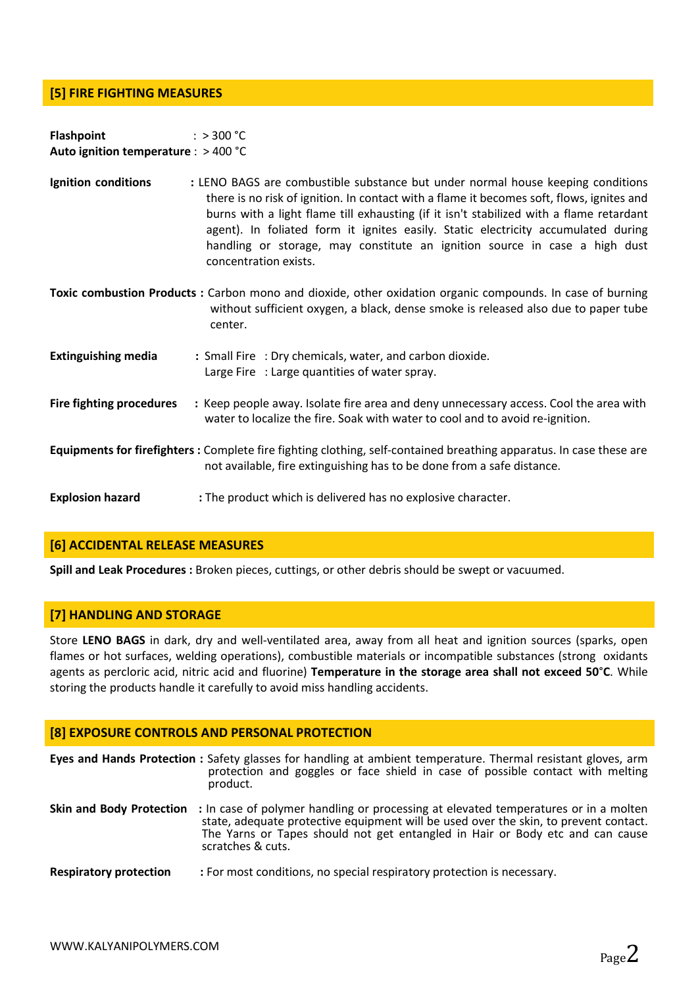## **[5] FIRE FIGHTING MEASURES**

| <b>Flashpoint</b>                      | : > 300 °C |  |
|----------------------------------------|------------|--|
| Auto ignition temperature : $>$ 400 °C |            |  |

- **Ignition conditions : LENO BAGS** are combustible substance but under normal house keeping conditions there is no risk of ignition. In contact with a flame it becomes soft, flows, ignites and burns with alight flame till exhausting (if it isn't stabilized with a flame retardant agent). In foliated form it ignites easily. Static electricity accumulated during handling or storage, may constitute an ignition source in case a high dust concentration exists.
- **Toxic combustion Products :** Carbon mono and dioxide, other oxidation organic compounds. In case of burning without sufficient oxygen, a black, dense smoke is released also due to paper tube center.
- **Extinguishing media :** Small Fire : Dry chemicals, water, and carbon dioxide. Large Fire : Large quantities of water spray. **Fire fighting procedures :** Keep people away. Isolate fire area and deny unnecessary access. Cool the area with water to localize the fire. Soak with water to cooland to avoid re-ignition. **Equipments for firefighters :** Complete fire fighting clothing, self-contained breathing apparatus. In case these are not available, fire extinguishing has to be done from a safe distance.

**Explosion hazard :** The product which is delivered has no explosive character.

#### **[6] ACCIDENTAL RELEASE MEASURES**

**Spill and Leak Procedures :** Broken pieces, cuttings, or other debris should be swept or vacuumed.

#### **[7] HANDLING AND STORAGE**

Store **LENO BAGS** in dark, dry and well-ventilated area, away from all heat and ignition sources (sparks, open flames or hot surfaces, welding operations), combustible materials or incompatible substances (strong oxidants agents as percloric acid, nitric acid and fluorine) **Temperature in the storage area shall not exceed 50**°**C**. While storing the products handle it carefully to avoid miss handling accidents.

## **[8] EXPOSURE CONTROLS AND PERSONAL PROTECTION**

|                               | Eyes and Hands Protection : Safety glasses for handling at ambient temperature. Thermal resistant gloves, arm<br>protection and goggles or face shield in case of possible contact with melting<br>product.                                                                                                |
|-------------------------------|------------------------------------------------------------------------------------------------------------------------------------------------------------------------------------------------------------------------------------------------------------------------------------------------------------|
|                               | Skin and Body Protection : In case of polymer handling or processing at elevated temperatures or in a molten<br>state, adequate protective equipment will be used over the skin, to prevent contact.<br>The Yarns or Tapes should not get entangled in Hair or Body etc and can cause<br>scratches & cuts. |
| <b>Respiratory protection</b> | : For most conditions, no special respiratory protection is necessary.                                                                                                                                                                                                                                     |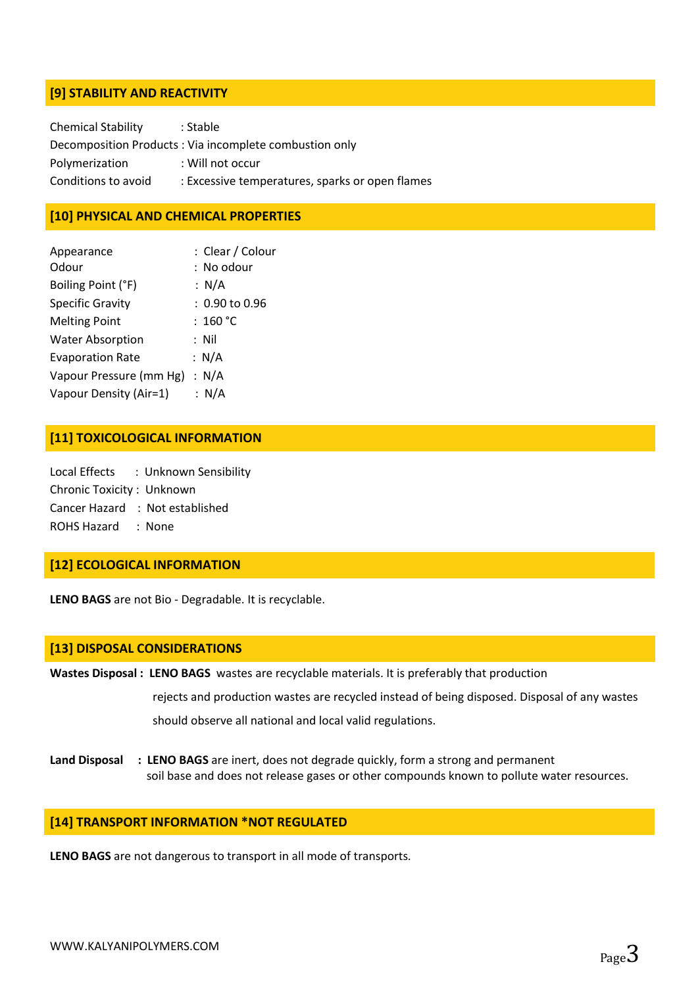## **[9] STABILITY AND REACTIVITY**

| <b>Chemical Stability</b> | : Stable                                               |
|---------------------------|--------------------------------------------------------|
|                           | Decomposition Products: Via incomplete combustion only |
| Polymerization            | : Will not occur                                       |
| Conditions to avoid       | : Excessive temperatures, sparks or open flames        |

## **[10] PHYSICAL AND CHEMICAL PROPERTIES**

| Appearance<br>Odour     | : Clear / Colour<br>: No odour |
|-------------------------|--------------------------------|
| Boiling Point (°F)      | : N/A                          |
| <b>Specific Gravity</b> | $: 0.90$ to $0.96$             |
| <b>Melting Point</b>    | : 160 °C                       |
| <b>Water Absorption</b> | : Nil                          |
| <b>Evaporation Rate</b> | : $N/A$                        |
| Vapour Pressure (mm Hg) | : $N/A$                        |
| Vapour Density (Air=1)  | : N/A                          |

#### **[11] TOXICOLOGICAL INFORMATION**

Local Effects : Unknown Sensibility Chronic Toxicity : Unknown Cancer Hazard : Not established ROHS Hazard : None

#### **[12] ECOLOGICAL INFORMATION**

LENO BAGS are not Bio - Degradable. It is recyclable.

#### **[13] DISPOSAL CONSIDERATIONS**

**Wastes Disposal : LENO BAGS** wastes are recyclable materials. It is preferably that production

rejects and production wastes are recycled instead of being disposed. Disposal of any wastes should observe all national and local valid regulations.

**Land Disposal : LENO BAGS** are inert, does not degrade quickly, form a strong and permanent soil base and does not release gases or other compounds known to pollute water resources.

#### **[14] TRANSPORT INFORMATION \*NOT REGULATED**

**LENO BAGS** are not dangerous to transport in all mode of transports.